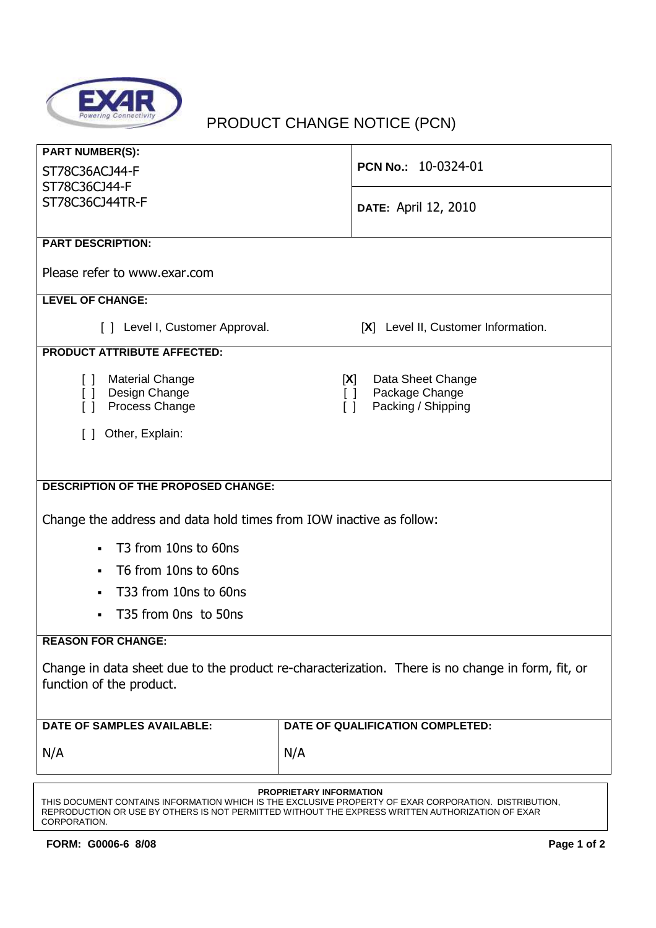

## PRODUCT CHANGE NOTICE (PCN)

| <b>PART NUMBER(S):</b><br>ST78C36ACJ44-F                                                                                     | PCN No.: 10-0324-01                                  |  |
|------------------------------------------------------------------------------------------------------------------------------|------------------------------------------------------|--|
| ST78C36CJ44-F                                                                                                                |                                                      |  |
| ST78C36CJ44TR-F                                                                                                              | <b>DATE: April 12, 2010</b>                          |  |
| <b>PART DESCRIPTION:</b>                                                                                                     |                                                      |  |
|                                                                                                                              |                                                      |  |
| Please refer to www.exar.com                                                                                                 |                                                      |  |
| <b>LEVEL OF CHANGE:</b>                                                                                                      |                                                      |  |
| [ ] Level I, Customer Approval.                                                                                              | [X] Level II, Customer Information.                  |  |
| <b>PRODUCT ATTRIBUTE AFFECTED:</b>                                                                                           |                                                      |  |
| <b>Material Change</b><br>$\Box$                                                                                             | Data Sheet Change<br>[X]                             |  |
| [] Design Change<br>Process Change<br>$\Box$                                                                                 | Package Change<br>$\Box$<br>Packing / Shipping<br>ΓI |  |
| Other, Explain:<br>$\Box$                                                                                                    |                                                      |  |
|                                                                                                                              |                                                      |  |
|                                                                                                                              |                                                      |  |
| <b>DESCRIPTION OF THE PROPOSED CHANGE:</b>                                                                                   |                                                      |  |
| Change the address and data hold times from IOW inactive as follow:                                                          |                                                      |  |
| T <sub>3</sub> from 10ns to 60ns                                                                                             |                                                      |  |
| T6 from 10ns to 60ns<br>$\blacksquare$                                                                                       |                                                      |  |
| T33 from 10ns to 60ns<br>٠                                                                                                   |                                                      |  |
| T35 from Ons to 50ns                                                                                                         |                                                      |  |
| <b>REASON FOR CHANGE:</b>                                                                                                    |                                                      |  |
| Change in data sheet due to the product re-characterization. There is no change in form, fit, or<br>function of the product. |                                                      |  |
| <b>DATE OF SAMPLES AVAILABLE:</b>                                                                                            | DATE OF QUALIFICATION COMPLETED:                     |  |
| N/A                                                                                                                          | N/A                                                  |  |
| PROPRIETARY INFORMATION                                                                                                      |                                                      |  |